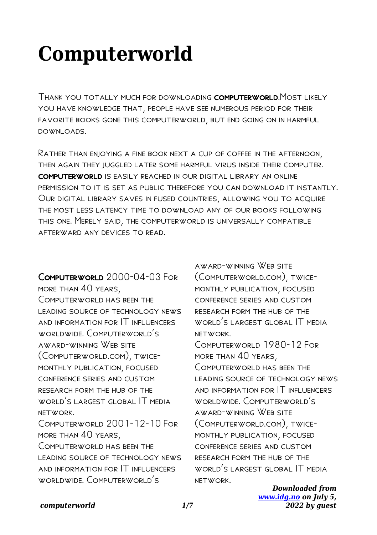# **Computerworld**

Thank you totally much for downloading computerworld.Most likely you have knowledge that, people have see numerous period for their favorite books gone this computerworld, but end going on in harmful downloads.

Rather than enjoying a fine book next a cup of coffee in the afternoon, then again they juggled later some harmful virus inside their computer. computerworld is easily reached in our digital library an online permission to it is set as public therefore you can download it instantly. Our digital library saves in fused countries, allowing you to acquire the most less latency time to download any of our books following this one. Merely said, the computerworld is universally compatible afterward any devices to read.

COMPUTERWORLD 2000-04-03 FOR more than 40 years, COMPUTERWORLD HAS BEEN THE leading source of technology news and information for IT influencers worldwide. Computerworld's award-winning Web site (Computerworld.com), twicemonthly publication, focused conference series and custom research form the hub of the world's largest global IT media network. Computerworld 2001-12-10 For more than 40 years, Computerworld has been the leading source of technology news and information for IT influencers worldwide. Computerworld's

award-winning Web site (Computerworld.com), twicemonthly publication, focused conference series and custom research form the hub of the world's largest global IT media network.

Computerworld 1980-12 For more than 40 years, Computerworld has been the leading source of technology news and information for IT influencers worldwide. Computerworld's award-winning Web site (Computerworld.com), twicemonthly publication, focused conference series and custom research form the hub of the world's largest global IT media network.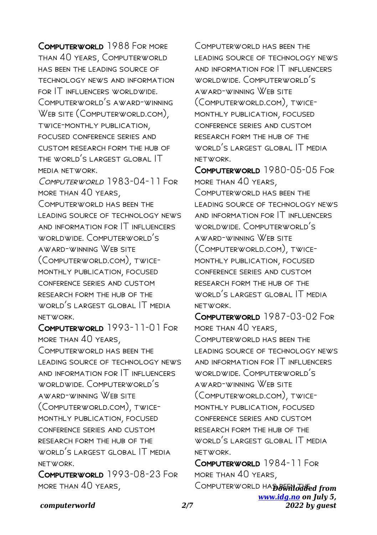COMPUTERWORLD 1988 FOR MORE than 40 years, Computerworld has been the leading source of technology news and information for IT influencers worldwide. Computerworld's award-winning WEB SITE (COMPUTERWORLD.COM). twice-monthly publication, focused conference series and custom research form the hub of the world's largest global IT media network.

Computerworld 1983-04-11 For more than 40 years,

Computerworld has been the leading source of technology news and information for IT influencers worldwide. Computerworld's award-winning Web site (Computerworld.com), twicemonthly publication, focused conference series and custom research form the hub of the world's largest global IT media network.

Computerworld 1993-11-01 For more than 40 years,

Computerworld has been the leading source of technology news and information for IT influencers worldwide. Computerworld's award-winning Web site (Computerworld.com), twicemonthly publication, focused conference series and custom research form the hub of the WORLD'S LARGEST GLOBAL IT MEDIA network.

Computerworld 1993-08-23 For more than 40 years,

Computerworld has been the leading source of technology news and information for IT influencers worldwide. Computerworld's award-winning Web site (Computerworld.com), twicemonthly publication, focused conference series and custom research form the hub of the world's largest global IT media network.

Computerworld 1980-05-05 For more than 40 years, COMPUTERWORLD HAS BEEN THE leading source of technology news and information for IT influencers worldwide. Computerworld's award-winning Web site (Computerworld.com), twicemonthly publication, focused conference series and custom research form the hub of the world's largest global IT media network.

Computerworld 1987-03-02 For more than 40 years, Computerworld has been the leading source of technology news and information for IT influencers worldwide. Computerworld's award-winning Web site (Computerworld.com), twicemonthly publication, focused conference series and custom research form the hub of the world's largest global IT media network.

Computerworld HA**D&Whodded from** *[www.idg.no](http://www.idg.no) on July 5,* Computerworld 1984-11 For more than 40 years,

*2022 by guest*

# *computerworld 2/7*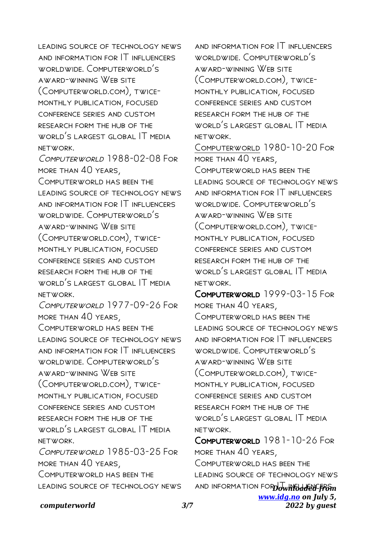LEADING SOURCE OF TECHNOLOGY NEWS and information for IT influencers worldwide. Computerworld's award-winning Web site (Computerworld.com), twicemonthly publication, focused conference series and custom research form the hub of the world's largest global IT media network.

COMPLITERWORLD 1988-02-08 FOR more than 40 years,

Computerworld has been the leading source of technology news and information for IT influencers worldwide. Computerworld's award-winning Web site (Computerworld.com), twicemonthly publication, focused conference series and custom research form the hub of the WORLD'S LARGEST GLOBAL IT MEDIA network.

Computerworld 1977-09-26 For more than 40 years,

COMPUTERWORLD HAS BEEN THE leading source of technology news and information for IT influencers worldwide. Computerworld's award-winning Web site (Computerworld.com), twicemonthly publication, focused conference series and custom research form the hub of the world's largest global IT media network. Computerworld 1985-03-25 For

more than 40 years, Computerworld has been the leading source of technology news

and information for IT influencers worldwide. Computerworld's award-winning Web site (Computerworld.com), twicemonthly publication, focused conference series and custom research form the hub of the world's largest global IT media network.

Computerworld 1980-10-20 For more than 40 years, Computerworld has been the leading source of technology news and information for IT influencers worldwide. Computerworld's award-winning Web site (Computerworld.com), twicemonthly publication, focused conference series and custom research form the hub of the world's largest global IT media network.

Computerworld 1999-03-15 For more than 40 years, COMPLITERWORLD HAS REEN THE leading source of technology news and information for IT influencers worldwide. Computerworld's award-winning Web site (Computerworld.com), twicemonthly publication, focused conference series and custom research form the hub of the world's largest global IT media network.

**AND INFORMATION FOR Downloaded from** *[www.idg.no](http://www.idg.no) on July 5, 2022 by guest* Computerworld 1981-10-26 For more than 40 years, Computerworld has been the leading source of technology news

# *computerworld 3/7*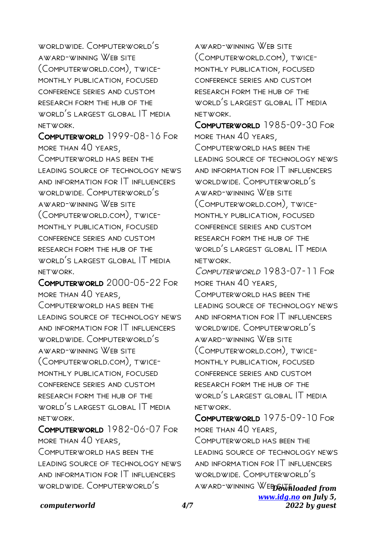worldwide. Computerworld's award-winning Web site (Computerworld.com), twicemonthly publication, focused conference series and custom research form the hub of the world's largest global IT media network.

Computerworld 1999-08-16 For more than 40 years, COMPLITERWORLD HAS REEN THE leading source of technology news and information for IT influencers worldwide. Computerworld's award-winning Web site (Computerworld.com), twicemonthly publication, focused conference series and custom research form the hub of the world's largest global IT media network.

Computerworld 2000-05-22 For more than 40 years,

Computerworld has been the leading source of technology news and information for IT influencers worldwide. Computerworld's award-winning Web site (Computerworld.com), twicemonthly publication, focused conference series and custom research form the hub of the WORLD'S LARGEST GLOBAL IT MEDIA network.

Computerworld 1982-06-07 For more than 40 years, Computerworld has been the leading source of technology news and information for IT influencers worldwide. Computerworld's

award-winning Web site (Computerworld.com), twicemonthly publication, focused conference series and custom research form the hub of the WORLD'S LARGEST GLOBAL IT MEDIA network.

Computerworld 1985-09-30 For more than 40 years, COMPUTERWORLD HAS BEEN THE leading source of technology news and information for IT influencers worldwide. Computerworld's award-winning Web site (Computerworld.com), twicemonthly publication, focused conference series and custom research form the hub of the world's largest global IT media network.

COMPUTERWORLD 1983-07-11 FOR more than 40 years,

COMPUTERWORLD HAS BEEN THE leading source of technology news and information for IT influencers worldwide. Computerworld's award-winning Web site (Computerworld.com), twicemonthly publication, focused conference series and custom research form the hub of the world's largest global IT media network.

**AWARD-WINNING WEDSWEIOaded from** *[www.idg.no](http://www.idg.no) on July 5,* Computerworld 1975-09-10 For more than 40 years, COMPLITERWORLD HAS REEN THE leading source of technology news and information for IT influencers worldwide. Computerworld's

*2022 by guest*

## *computerworld 4/7*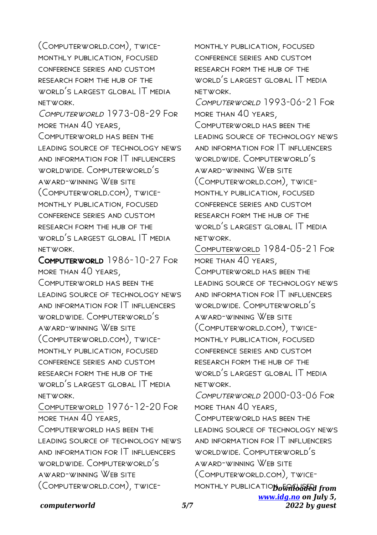(Computerworld.com), twicemonthly publication, focused conference series and custom research form the hub of the WORLD'S LARGEST GLOBAL IT MEDIA network.

Computerworld 1973-08-29 For more than 40 years,

Computerworld has been the leading source of technology news and information for IT influencers worldwide. Computerworld's award-winning Web site (Computerworld.com), twicemonthly publication, focused conference series and custom research form the hub of the WORLD'S LARGEST GLOBAL IT MEDIA network.

Computerworld 1986-10-27 For more than 40 years, COMPUTERWORLD HAS BEEN THE leading source of technology news and information for IT influencers worldwide. Computerworld's award-winning Web site (Computerworld.com), twicemonthly publication, focused conference series and custom research form the hub of the WORLD'S LARGEST GLOBAL IT MEDIA network. Computerworld 1976-12-20 For more than 40 years, Computerworld has been the LEADING SOURCE OF TECHNOLOGY NEWS and information for IT influencers worldwide. Computerworld's award-winning Web site (Computerworld.com), twicemonthly publication, focused conference series and custom research form the hub of the world's largest global IT media network.

COMPUTERWORLD 1993-06-21 FOR more than 40 years,

COMPUTERWORLD HAS BEEN THE leading source of technology news and information for IT influencers worldwide. Computerworld's award-winning Web site (Computerworld.com), twicemonthly publication, focused conference series and custom research form the hub of the world's largest global IT media network.

Computerworld 1984-05-21 For more than 40 years, COMPUTERWORLD HAS BEEN THE leading source of technology news and information for IT influencers worldwide. Computerworld's award-winning Web site (Computerworld.com), twicemonthly publication, focused conference series and custom research form the hub of the world's largest global IT media network.

Computerworld 2000-03-06 For more than 40 years,

MONTHLY PUBLICATIO**D** o<del>wn loaded</del> from Computerworld has been the leading source of technology news and information for IT influencers worldwide. Computerworld's award-winning Web site (Computerworld.com), twice-

> *[www.idg.no](http://www.idg.no) on July 5, 2022 by guest*

### *computerworld 5/7*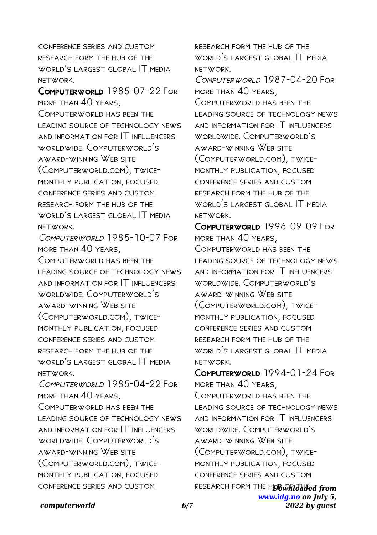conference series and custom research form the hub of the world's largest global IT media network.

Computerworld 1985-07-22 For more than 40 years, COMPLITERWORLD HAS REEN THE leading source of technology news and information for IT influencers worldwide. Computerworld's award-winning Web site (Computerworld.com), twicemonthly publication, focused conference series and custom research form the hub of the world's largest global IT media network.

Computerworld 1985-10-07 For more than 40 years,

Computerworld has been the leading source of technology news and information for IT influencers worldwide. Computerworld's award-winning Web site (Computerworld.com), twicemonthly publication, focused conference series and custom research form the hub of the WORLD'S LARGEST GLOBAL IT MEDIA network.

COMPUTERWORLD 1985-04-22 FOR more than 40 years,

COMPUTERWORLD HAS BEEN THE leading source of technology news and information for IT influencers worldwide. Computerworld's award-winning Web site (Computerworld.com), twicemonthly publication, focused conference series and custom

research form the hub of the world's largest global IT media network.

Computerworld 1987-04-20 For more than 40 years,

COMPUTERWORLD HAS BEEN THE LEADING SOURCE OF TECHNOLOGY NEWS and information for IT influencers worldwide. Computerworld's award-winning Web site (Computerworld.com), twicemonthly publication, focused conference series and custom research form the hub of the world's largest global IT media network.

COMPUTERWORLD 1996-09-09 FOR more than 40 years, Computerworld has been the leading source of technology news and information for IT influencers worldwide. Computerworld's award-winning Web site (Computerworld.com), twicemonthly publication, focused conference series and custom research form the hub of the world's largest global IT media network.

RESEARCH FORM THE H**UB whildated from** *[www.idg.no](http://www.idg.no) on July 5,* COMPUTERWORLD 1994-01-24 FOR more than 40 years, COMPUTERWORLD HAS BEEN THE LEADING SOURCE OF TECHNOLOGY NEWS and information for IT influencers worldwide. Computerworld's award-winning Web site (Computerworld.com), twicemonthly publication, focused conference series and custom

*2022 by guest*

### *computerworld 6/7*